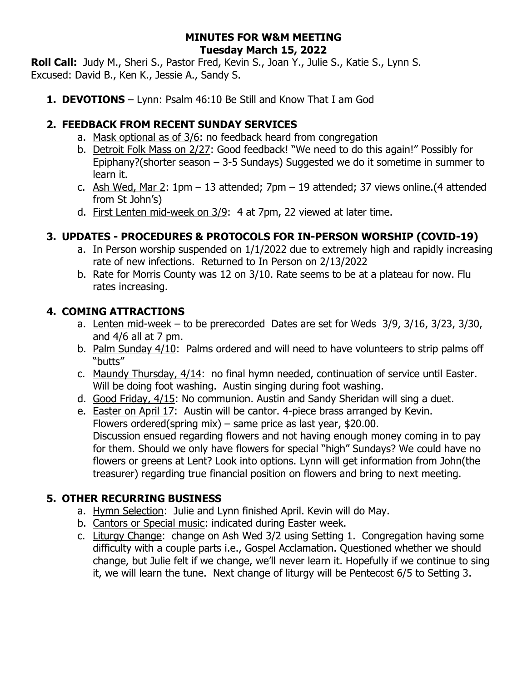#### **MINUTES FOR W&M MEETING Tuesday March 15, 2022**

**Roll Call:** Judy M., Sheri S., Pastor Fred, Kevin S., Joan Y., Julie S., Katie S., Lynn S. Excused: David B., Ken K., Jessie A., Sandy S.

**1. DEVOTIONS** – Lynn: Psalm 46:10 Be Still and Know That I am God

## **2. FEEDBACK FROM RECENT SUNDAY SERVICES**

- a. Mask optional as of 3/6: no feedback heard from congregation
- b. Detroit Folk Mass on 2/27: Good feedback! "We need to do this again!" Possibly for Epiphany?(shorter season  $-$  3-5 Sundays) Suggested we do it sometime in summer to learn it.
- c. Ash Wed, Mar 2: 1pm 13 attended; 7pm 19 attended; 37 views online.(4 attended from St John's)
- d. First Lenten mid-week on 3/9: 4 at 7pm, 22 viewed at later time.

# **3. UPDATES - PROCEDURES & PROTOCOLS FOR IN-PERSON WORSHIP (COVID-19)**

- a. In Person worship suspended on 1/1/2022 due to extremely high and rapidly increasing rate of new infections. Returned to In Person on 2/13/2022
- b. Rate for Morris County was 12 on 3/10. Rate seems to be at a plateau for now. Flu rates increasing.

# **4. COMING ATTRACTIONS**

- a. Lenten mid-week to be prerecorded Dates are set for Weds 3/9, 3/16, 3/23, 3/30, and  $4/6$  all at  $7$  pm.
- b. Palm Sunday 4/10: Palms ordered and will need to have volunteers to strip palms off "butts"
- c. Maundy Thursday, 4/14: no final hymn needed, continuation of service until Easter. Will be doing foot washing. Austin singing during foot washing.
- d. Good Friday, 4/15: No communion. Austin and Sandy Sheridan will sing a duet.
- e. **Easter on April 17:** Austin will be cantor. 4-piece brass arranged by Kevin. Flowers ordered(spring mix) – same price as last year, \$20.00. Discussion ensued regarding flowers and not having enough money coming in to pay for them. Should we only have flowers for special "high" Sundays? We could have no flowers or greens at Lent? Look into options. Lynn will get information from John(the treasurer) regarding true financial position on flowers and bring to next meeting.

## **5. OTHER RECURRING BUSINESS**

- a. Hymn Selection: Julie and Lynn finished April. Kevin will do May.
- b. Cantors or Special music: indicated during Easter week.
- c. Liturgy Change: change on Ash Wed 3/2 using Setting 1. Congregation having some difficulty with a couple parts i.e., Gospel Acclamation. Questioned whether we should change, but Julie felt if we change, we'll never learn it. Hopefully if we continue to sing it, we will learn the tune. Next change of liturgy will be Pentecost 6/5 to Setting 3.